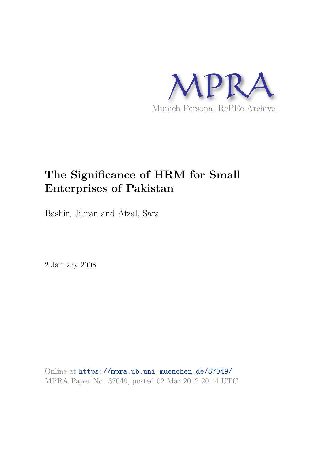

# **The Significance of HRM for Small Enterprises of Pakistan**

Bashir, Jibran and Afzal, Sara

2 January 2008

Online at https://mpra.ub.uni-muenchen.de/37049/ MPRA Paper No. 37049, posted 02 Mar 2012 20:14 UTC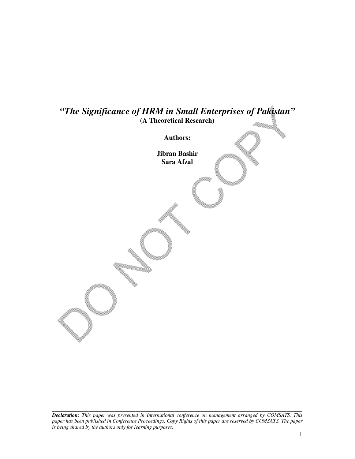## *"The Significance of HRM in Small Enterprises of Pakistan"*  **(A Theoretical Research)**

**Authors:** 

**Jibran Bashir Sara Afzal** 

*Declaration: This paper was presented in International conference on management arranged by COMSATS. This paper has been published in Conference Proceedings. Copy Rights of this paper are reserved by COMSATS. The paper is being shared by the authors only for learning purposes.*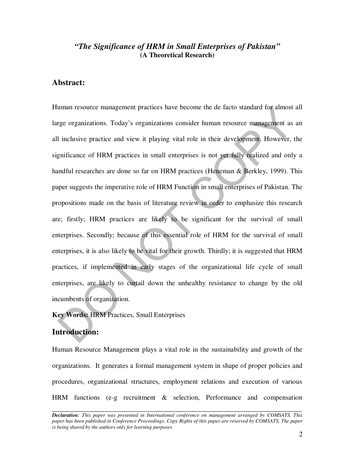## *"The Significance of HRM in Small Enterprises of Pakistan"*  **(A Theoretical Research)**

## **Abstract:**

Human resource management practices have become the de facto standard for almost all large organizations. Today's organizations consider human resource management as an all inclusive practice and view it playing vital role in their development. However, the significance of HRM practices in small enterprises is not yet fully realized and only a handful researches are done so far on HRM practices (Heneman & Berkley, 1999). This paper suggests the imperative role of HRM Function in small enterprises of Pakistan. The propositions made on the basis of literature review in order to emphasize this research are; firstly; HRM practices are likely to be significant for the survival of small enterprises. Secondly; because of this essential role of HRM for the survival of small enterprises, it is also likely to be vital for their growth. Thirdly; it is suggested that HRM practices, if implemented in early stages of the organizational life cycle of small enterprises, are likely to curtail down the unhealthy resistance to change by the old incumbents of organization.

#### **Key Words:** HRM Practices, Small Enterprises

#### **Introduction:**

Human Resource Management plays a vital role in the sustainability and growth of the organizations. It generates a formal management system in shape of proper policies and procedures, organizational structures, employment relations and execution of various HRM functions (e-g recruitment & selection, Performance and compensation

*Declaration: This paper was presented in International conference on management arranged by COMSATS. This paper has been published in Conference Proceedings. Copy Rights of this paper are reserved by COMSATS. The paper is being shared by the authors only for learning purposes.*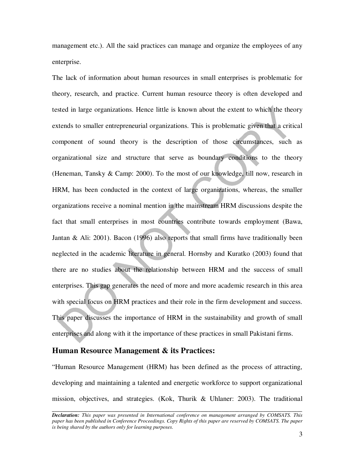management etc.). All the said practices can manage and organize the employees of any enterprise.

The lack of information about human resources in small enterprises is problematic for theory, research, and practice. Current human resource theory is often developed and tested in large organizations. Hence little is known about the extent to which the theory extends to smaller entrepreneurial organizations. This is problematic given that a critical component of sound theory is the description of those circumstances, such as organizational size and structure that serve as boundary conditions to the theory (Heneman, Tansky & Camp: 2000). To the most of our knowledge, till now, research in HRM, has been conducted in the context of large organizations, whereas, the smaller organizations receive a nominal mention in the mainstream HRM discussions despite the fact that small enterprises in most countries contribute towards employment (Bawa, Jantan & Ali: 2001). Bacon (1996) also reports that small firms have traditionally been neglected in the academic literature in general. Hornsby and Kuratko (2003) found that there are no studies about the relationship between HRM and the success of small enterprises. This gap generates the need of more and more academic research in this area with special focus on HRM practices and their role in the firm development and success. This paper discusses the importance of HRM in the sustainability and growth of small enterprises and along with it the importance of these practices in small Pakistani firms.

### **Human Resource Management & its Practices:**

"Human Resource Management (HRM) has been defined as the process of attracting, developing and maintaining a talented and energetic workforce to support organizational mission, objectives, and strategies. (Kok, Thurik & Uhlaner: 2003). The traditional

*Declaration: This paper was presented in International conference on management arranged by COMSATS. This paper has been published in Conference Proceedings. Copy Rights of this paper are reserved by COMSATS. The paper is being shared by the authors only for learning purposes.*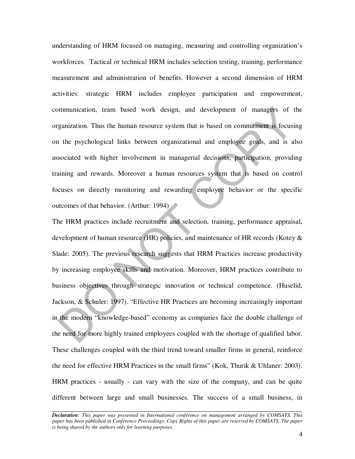understanding of HRM focused on managing, measuring and controlling organization's workforces. Tactical or technical HRM includes selection testing, training, performance measurement and administration of benefits. However a second dimension of HRM activities: strategic HRM includes employee participation and empowerment, communication, team based work design, and development of managers of the organization. Thus the human resource system that is based on commitment is focusing on the psychological links between organizational and employee goals, and is also associated with higher involvement in managerial decisions, participation, providing training and rewards. Moreover a human resources system that is based on control focuses on directly monitoring and rewarding employee behavior or the specific outcomes of that behavior. (Arthur: 1994)

The HRM practices include recruitment and selection, training, performance appraisal, development of human resource (HR) policies, and maintenance of HR records (Kotey & Slade: 2005). The previous research suggests that HRM Practices increase productivity by increasing employee skills and motivation. Moreover, HRM practices contribute to business objectives through strategic innovation or technical competence. (Huselid, Jackson, & Schuler: 1997). "Effective HR Practices are becoming increasingly important in the modern "knowledge-based" economy as companies face the double challenge of the need for more highly trained employees coupled with the shortage of qualified labor. These challenges coupled with the third trend toward smaller firms in general, reinforce the need for effective HRM Practices in the small firms" (Kok, Thurik & Uhlaner: 2003). HRM practices - usually - can vary with the size of the company, and can be quite different between large and small businesses. The success of a small business, in

*Declaration: This paper was presented in International conference on management arranged by COMSATS. This paper has been published in Conference Proceedings. Copy Rights of this paper are reserved by COMSATS. The paper is being shared by the authors only for learning purposes.*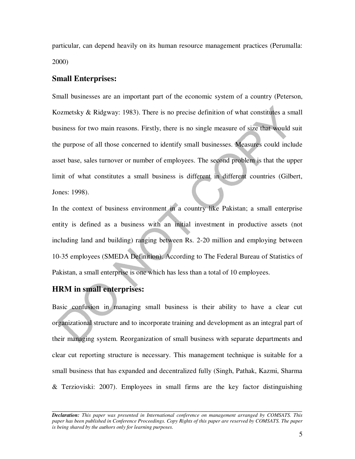particular, can depend heavily on its human resource management practices (Perumalla: 2000)

#### **Small Enterprises:**

Small businesses are an important part of the economic system of a country (Peterson, Kozmetsky & Ridgway: 1983). There is no precise definition of what constitutes a small business for two main reasons. Firstly, there is no single measure of size that would suit the purpose of all those concerned to identify small businesses. Measures could include asset base, sales turnover or number of employees. The second problem is that the upper limit of what constitutes a small business is different in different countries (Gilbert, Jones: 1998).

In the context of business environment in a country like Pakistan; a small enterprise entity is defined as a business with an initial investment in productive assets (not including land and building) ranging between Rs. 2-20 million and employing between 10-35 employees (SMEDA Definition). According to The Federal Bureau of Statistics of Pakistan, a small enterprise is one which has less than a total of 10 employees.

## **HRM in small enterprises:**

Basic confusion in managing small business is their ability to have a clear cut organizational structure and to incorporate training and development as an integral part of their managing system. Reorganization of small business with separate departments and clear cut reporting structure is necessary. This management technique is suitable for a small business that has expanded and decentralized fully (Singh, Pathak, Kazmi, Sharma & Terzioviski: 2007). Employees in small firms are the key factor distinguishing

*Declaration: This paper was presented in International conference on management arranged by COMSATS. This paper has been published in Conference Proceedings. Copy Rights of this paper are reserved by COMSATS. The paper is being shared by the authors only for learning purposes.*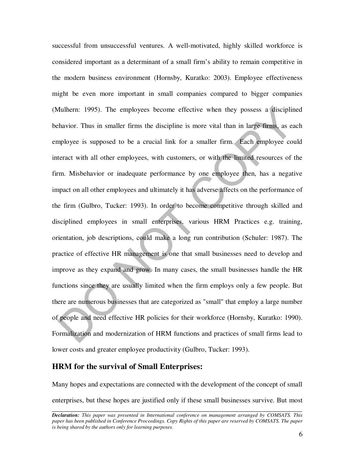successful from unsuccessful ventures. A well-motivated, highly skilled workforce is considered important as a determinant of a small firm's ability to remain competitive in the modern business environment (Hornsby, Kuratko: 2003). Employee effectiveness might be even more important in small companies compared to bigger companies (Mulhern: 1995). The employees become effective when they possess a disciplined behavior. Thus in smaller firms the discipline is more vital than in large firms, as each employee is supposed to be a crucial link for a smaller firm. Each employee could interact with all other employees, with customers, or with the limited resources of the firm. Misbehavior or inadequate performance by one employee then, has a negative impact on all other employees and ultimately it has adverse affects on the performance of the firm (Gulbro, Tucker: 1993). In order to become competitive through skilled and disciplined employees in small enterprises, various HRM Practices e.g. training, orientation, job descriptions, could make a long run contribution (Schuler: 1987). The practice of effective HR management is one that small businesses need to develop and improve as they expand and grow. In many cases, the small businesses handle the HR functions since they are usually limited when the firm employs only a few people. But there are numerous businesses that are categorized as "small" that employ a large number of people and need effective HR policies for their workforce (Hornsby, Kuratko: 1990). Formalization and modernization of HRM functions and practices of small firms lead to lower costs and greater employee productivity (Gulbro, Tucker: 1993).

## **HRM for the survival of Small Enterprises:**

Many hopes and expectations are connected with the development of the concept of small enterprises, but these hopes are justified only if these small businesses survive. But most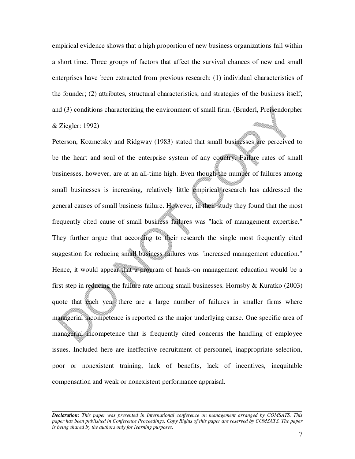empirical evidence shows that a high proportion of new business organizations fail within a short time. Three groups of factors that affect the survival chances of new and small enterprises have been extracted from previous research: (1) individual characteristics of the founder; (2) attributes, structural characteristics, and strategies of the business itself; and (3) conditions characterizing the environment of small firm. (Bruderl, Preisendorpher & Ziegler: 1992)

Peterson, Kozmetsky and Ridgway (1983) stated that small businesses are perceived to be the heart and soul of the enterprise system of any country. Failure rates of small businesses, however, are at an all-time high. Even though the number of failures among small businesses is increasing, relatively little empirical research has addressed the general causes of small business failure. However, in their study they found that the most frequently cited cause of small business failures was "lack of management expertise." They further argue that according to their research the single most frequently cited suggestion for reducing small business failures was "increased management education." Hence, it would appear that a program of hands-on management education would be a first step in reducing the failure rate among small businesses. Hornsby  $\&$  Kuratko (2003) quote that each year there are a large number of failures in smaller firms where managerial incompetence is reported as the major underlying cause. One specific area of managerial incompetence that is frequently cited concerns the handling of employee issues. Included here are ineffective recruitment of personnel, inappropriate selection, poor or nonexistent training, lack of benefits, lack of incentives, inequitable compensation and weak or nonexistent performance appraisal.

*Declaration: This paper was presented in International conference on management arranged by COMSATS. This paper has been published in Conference Proceedings. Copy Rights of this paper are reserved by COMSATS. The paper is being shared by the authors only for learning purposes.*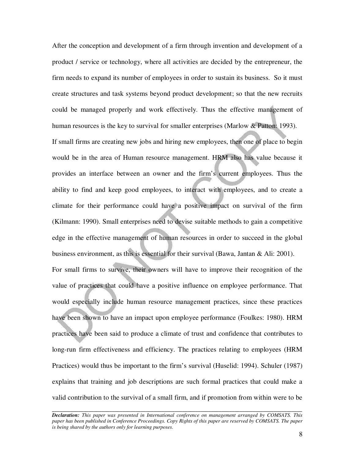After the conception and development of a firm through invention and development of a product / service or technology, where all activities are decided by the entrepreneur, the firm needs to expand its number of employees in order to sustain its business. So it must create structures and task systems beyond product development; so that the new recruits could be managed properly and work effectively. Thus the effective management of human resources is the key to survival for smaller enterprises (Marlow & Patton: 1993).

If small firms are creating new jobs and hiring new employees, then one of place to begin would be in the area of Human resource management. HRM also has value because it provides an interface between an owner and the firm's current employees. Thus the ability to find and keep good employees, to interact with employees, and to create a climate for their performance could have a positive impact on survival of the firm (Kilmann: 1990). Small enterprises need to devise suitable methods to gain a competitive edge in the effective management of human resources in order to succeed in the global business environment, as this is essential for their survival (Bawa, Jantan & Ali: 2001). For small firms to survive, their owners will have to improve their recognition of the value of practices that could have a positive influence on employee performance. That would especially include human resource management practices, since these practices have been shown to have an impact upon employee performance (Foulkes: 1980). HRM practices have been said to produce a climate of trust and confidence that contributes to long-run firm effectiveness and efficiency. The practices relating to employees (HRM Practices) would thus be important to the firm's survival (Huselid: 1994). Schuler (1987) explains that training and job descriptions are such formal practices that could make a valid contribution to the survival of a small firm, and if promotion from within were to be

*Declaration: This paper was presented in International conference on management arranged by COMSATS. This paper has been published in Conference Proceedings. Copy Rights of this paper are reserved by COMSATS. The paper is being shared by the authors only for learning purposes.*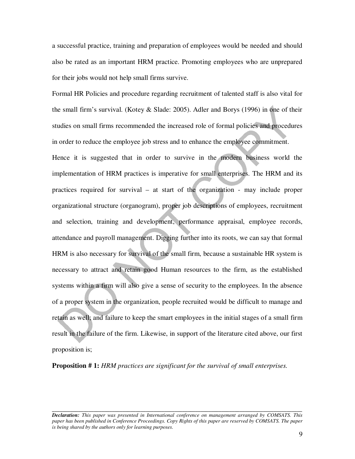a successful practice, training and preparation of employees would be needed and should also be rated as an important HRM practice. Promoting employees who are unprepared for their jobs would not help small firms survive.

Formal HR Policies and procedure regarding recruitment of talented staff is also vital for the small firm's survival. (Kotey & Slade: 2005). Adler and Borys (1996) in one of their studies on small firms recommended the increased role of formal policies and procedures in order to reduce the employee job stress and to enhance the employee commitment.

Hence it is suggested that in order to survive in the modern business world the implementation of HRM practices is imperative for small enterprises. The HRM and its practices required for survival – at start of the organization - may include proper organizational structure (organogram), proper job descriptions of employees, recruitment and selection, training and development, performance appraisal, employee records, attendance and payroll management. Digging further into its roots, we can say that formal HRM is also necessary for survival of the small firm, because a sustainable HR system is necessary to attract and retain good Human resources to the firm, as the established systems within a firm will also give a sense of security to the employees. In the absence of a proper system in the organization, people recruited would be difficult to manage and retain as well; and failure to keep the smart employees in the initial stages of a small firm result in the failure of the firm. Likewise, in support of the literature cited above, our first proposition is;

**Proposition # 1:** *HRM practices are significant for the survival of small enterprises.* 

*Declaration: This paper was presented in International conference on management arranged by COMSATS. This paper has been published in Conference Proceedings. Copy Rights of this paper are reserved by COMSATS. The paper is being shared by the authors only for learning purposes.*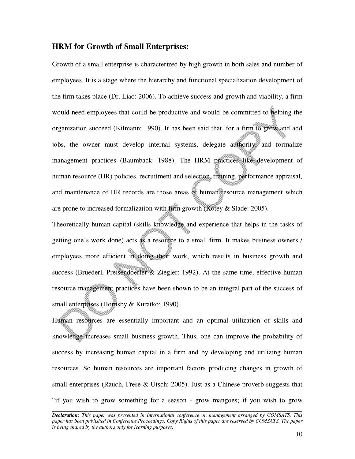### **HRM for Growth of Small Enterprises:**

Growth of a small enterprise is characterized by high growth in both sales and number of employees. It is a stage where the hierarchy and functional specialization development of the firm takes place (Dr. Liao: 2006). To achieve success and growth and viability, a firm would need employees that could be productive and would be committed to helping the organization succeed (Kilmann: 1990). It has been said that, for a firm to grow and add jobs, the owner must develop internal systems, delegate authority, and formalize management practices (Baumback: 1988). The HRM practices like development of human resource (HR) policies, recruitment and selection, training, performance appraisal, and maintenance of HR records are those areas of human resource management which are prone to increased formalization with firm growth (Kotey & Slade: 2005).

Theoretically human capital (skills knowledge and experience that helps in the tasks of getting one's work done) acts as a resource to a small firm. It makes business owners / employees more efficient in doing their work, which results in business growth and success (Bruederl, Preisendoerfer & Ziegler: 1992). At the same time, effective human resource management practices have been shown to be an integral part of the success of small enterprises (Hornsby & Kuratko: 1990).

Human resources are essentially important and an optimal utilization of skills and knowledge increases small business growth. Thus, one can improve the probability of success by increasing human capital in a firm and by developing and utilizing human resources. So human resources are important factors producing changes in growth of small enterprises (Rauch, Frese & Utsch: 2005). Just as a Chinese proverb suggests that "if you wish to grow something for a season - grow mangoes; if you wish to grow

*Declaration: This paper was presented in International conference on management arranged by COMSATS. This paper has been published in Conference Proceedings. Copy Rights of this paper are reserved by COMSATS. The paper is being shared by the authors only for learning purposes.*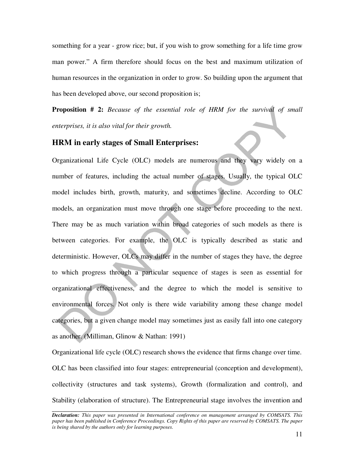something for a year - grow rice; but, if you wish to grow something for a life time grow man power." A firm therefore should focus on the best and maximum utilization of human resources in the organization in order to grow. So building upon the argument that has been developed above, our second proposition is;

**Proposition # 2:** *Because of the essential role of HRM for the survival of small enterprises, it is also vital for their growth.*

### **HRM in early stages of Small Enterprises:**

Organizational Life Cycle (OLC) models are numerous and they vary widely on a number of features, including the actual number of stages. Usually, the typical OLC model includes birth, growth, maturity, and sometimes decline. According to OLC models, an organization must move through one stage before proceeding to the next. There may be as much variation within broad categories of such models as there is between categories. For example, the OLC is typically described as static and deterministic. However, OLCs may differ in the number of stages they have, the degree to which progress through a particular sequence of stages is seen as essential for organizational effectiveness, and the degree to which the model is sensitive to environmental forces. Not only is there wide variability among these change model categories, but a given change model may sometimes just as easily fall into one category as another. (Milliman, Glinow & Nathan: 1991)

Organizational life cycle (OLC) research shows the evidence that firms change over time. OLC has been classified into four stages: entrepreneurial (conception and development), collectivity (structures and task systems), Growth (formalization and control), and Stability (elaboration of structure). The Entrepreneurial stage involves the invention and

*Declaration: This paper was presented in International conference on management arranged by COMSATS. This paper has been published in Conference Proceedings. Copy Rights of this paper are reserved by COMSATS. The paper is being shared by the authors only for learning purposes.*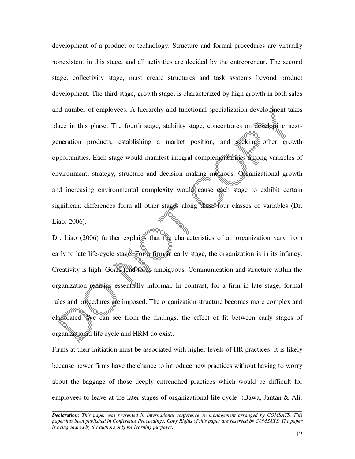development of a product or technology. Structure and formal procedures are virtually nonexistent in this stage, and all activities are decided by the entrepreneur. The second stage, collectivity stage, must create structures and task systems beyond product development. The third stage, growth stage, is characterized by high growth in both sales and number of employees. A hierarchy and functional specialization development takes place in this phase. The fourth stage, stability stage, concentrates on developing nextgeneration products, establishing a market position, and seeking other growth opportunities. Each stage would manifest integral complementarities among variables of environment, strategy, structure and decision making methods. Organizational growth and increasing environmental complexity would cause each stage to exhibit certain significant differences form all other stages along these four classes of variables (Dr. Liao: 2006).

Dr. Liao (2006) further explains that the characteristics of an organization vary from early to late life-cycle stage. For a firm in early stage, the organization is in its infancy. Creativity is high. Goals tend to be ambiguous. Communication and structure within the organization remains essentially informal. In contrast, for a firm in late stage, formal rules and procedures are imposed. The organization structure becomes more complex and elaborated. We can see from the findings, the effect of fit between early stages of organizational life cycle and HRM do exist.

Firms at their initiation must be associated with higher levels of HR practices. It is likely because newer firms have the chance to introduce new practices without having to worry about the baggage of those deeply entrenched practices which would be difficult for employees to leave at the later stages of organizational life cycle (Bawa, Jantan & Ali:

*Declaration: This paper was presented in International conference on management arranged by COMSATS. This paper has been published in Conference Proceedings. Copy Rights of this paper are reserved by COMSATS. The paper is being shared by the authors only for learning purposes.*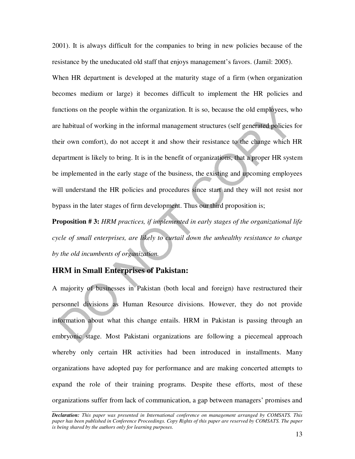2001). It is always difficult for the companies to bring in new policies because of the resistance by the uneducated old staff that enjoys management's favors. (Jamil: 2005). When HR department is developed at the maturity stage of a firm (when organization becomes medium or large) it becomes difficult to implement the HR policies and functions on the people within the organization. It is so, because the old employees, who are habitual of working in the informal management structures (self generated policies for their own comfort), do not accept it and show their resistance to the change which HR department is likely to bring. It is in the benefit of organizations, that a proper HR system be implemented in the early stage of the business, the existing and upcoming employees will understand the HR policies and procedures since start and they will not resist nor bypass in the later stages of firm development. Thus our third proposition is;

**Proposition # 3:** *HRM practices, if implemented in early stages of the organizational life cycle of small enterprises, are likely to curtail down the unhealthy resistance to change by the old incumbents of organization.* 

## **HRM in Small Enterprises of Pakistan:**

A majority of businesses in Pakistan (both local and foreign) have restructured their personnel divisions as Human Resource divisions. However, they do not provide information about what this change entails. HRM in Pakistan is passing through an embryonic stage. Most Pakistani organizations are following a piecemeal approach whereby only certain HR activities had been introduced in installments. Many organizations have adopted pay for performance and are making concerted attempts to expand the role of their training programs. Despite these efforts, most of these organizations suffer from lack of communication, a gap between managers' promises and

*Declaration: This paper was presented in International conference on management arranged by COMSATS. This paper has been published in Conference Proceedings. Copy Rights of this paper are reserved by COMSATS. The paper is being shared by the authors only for learning purposes.*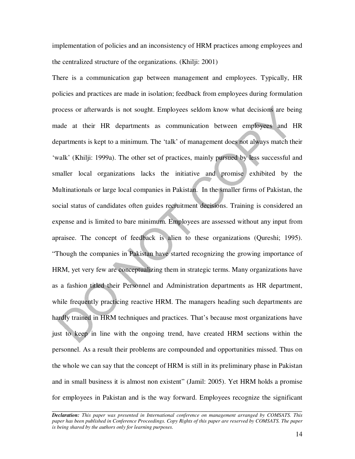implementation of policies and an inconsistency of HRM practices among employees and the centralized structure of the organizations. (Khilji: 2001)

There is a communication gap between management and employees. Typically, HR policies and practices are made in isolation; feedback from employees during formulation process or afterwards is not sought. Employees seldom know what decisions are being made at their HR departments as communication between employees and HR departments is kept to a minimum. The 'talk' of management does not always match their 'walk' (Khilji: 1999a). The other set of practices, mainly pursued by less successful and smaller local organizations lacks the initiative and promise exhibited by the Multinationals or large local companies in Pakistan. In the smaller firms of Pakistan, the social status of candidates often guides recruitment decisions. Training is considered an expense and is limited to bare minimum. Employees are assessed without any input from apraisee. The concept of feedback is alien to these organizations (Qureshi; 1995). "Though the companies in Pakistan have started recognizing the growing importance of HRM, yet very few are conceptualizing them in strategic terms. Many organizations have as a fashion titled their Personnel and Administration departments as HR department, while frequently practicing reactive HRM. The managers heading such departments are hardly trained in HRM techniques and practices. That's because most organizations have just to keep in line with the ongoing trend, have created HRM sections within the personnel. As a result their problems are compounded and opportunities missed. Thus on the whole we can say that the concept of HRM is still in its preliminary phase in Pakistan and in small business it is almost non existent" (Jamil: 2005). Yet HRM holds a promise for employees in Pakistan and is the way forward. Employees recognize the significant

*Declaration: This paper was presented in International conference on management arranged by COMSATS. This paper has been published in Conference Proceedings. Copy Rights of this paper are reserved by COMSATS. The paper is being shared by the authors only for learning purposes.*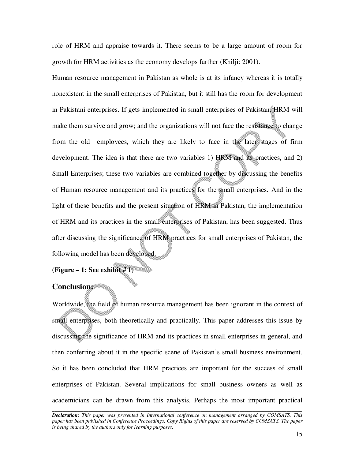role of HRM and appraise towards it. There seems to be a large amount of room for growth for HRM activities as the economy develops further (Khilji: 2001).

Human resource management in Pakistan as whole is at its infancy whereas it is totally nonexistent in the small enterprises of Pakistan, but it still has the room for development in Pakistani enterprises. If gets implemented in small enterprises of Pakistan, HRM will make them survive and grow; and the organizations will not face the resistance to change from the old employees, which they are likely to face in the later stages of firm development. The idea is that there are two variables 1) HRM and its practices, and 2) Small Enterprises; these two variables are combined together by discussing the benefits of Human resource management and its practices for the small enterprises. And in the light of these benefits and the present situation of HRM in Pakistan, the implementation of HRM and its practices in the small enterprises of Pakistan, has been suggested. Thus after discussing the significance of HRM practices for small enterprises of Pakistan, the following model has been developed.

**(Figure – 1: See exhibit # 1)** 

## **Conclusion:**

Worldwide, the field of human resource management has been ignorant in the context of small enterprises, both theoretically and practically. This paper addresses this issue by discussing the significance of HRM and its practices in small enterprises in general, and then conferring about it in the specific scene of Pakistan's small business environment. So it has been concluded that HRM practices are important for the success of small enterprises of Pakistan. Several implications for small business owners as well as academicians can be drawn from this analysis. Perhaps the most important practical

*Declaration: This paper was presented in International conference on management arranged by COMSATS. This paper has been published in Conference Proceedings. Copy Rights of this paper are reserved by COMSATS. The paper is being shared by the authors only for learning purposes.*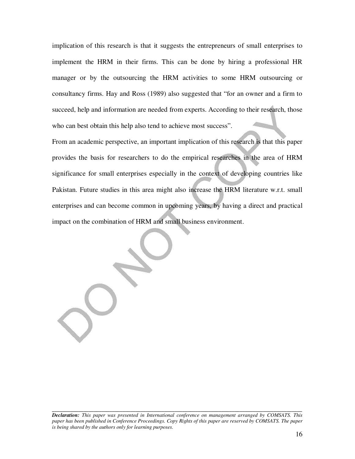implication of this research is that it suggests the entrepreneurs of small enterprises to implement the HRM in their firms. This can be done by hiring a professional HR manager or by the outsourcing the HRM activities to some HRM outsourcing or consultancy firms. Hay and Ross (1989) also suggested that "for an owner and a firm to succeed, help and information are needed from experts. According to their research, those who can best obtain this help also tend to achieve most success".

From an academic perspective, an important implication of this research is that this paper provides the basis for researchers to do the empirical researches in the area of HRM significance for small enterprises especially in the context of developing countries like Pakistan. Future studies in this area might also increase the HRM literature w.r.t. small enterprises and can become common in upcoming years, by having a direct and practical impact on the combination of HRM and small business environment.

*Declaration: This paper was presented in International conference on management arranged by COMSATS. This paper has been published in Conference Proceedings. Copy Rights of this paper are reserved by COMSATS. The paper is being shared by the authors only for learning purposes.*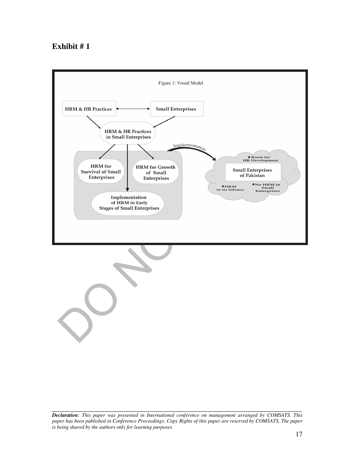## **Exhibit # 1**



*Declaration: This paper was presented in International conference on management arranged by COMSATS. This paper has been published in Conference Proceedings. Copy Rights of this paper are reserved by COMSATS. The paper is being shared by the authors only for learning purposes.*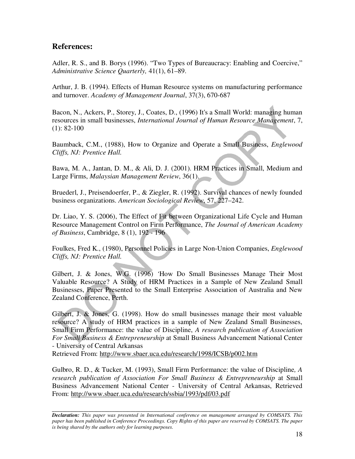## **References:**

Adler, R. S., and B. Borys (1996). "Two Types of Bureaucracy: Enabling and Coercive," *Administrative Science Quarterly,* 41(1), 61–89.

Arthur, J. B. (1994). Effects of Human Resource systems on manufacturing performance and turnover. *Academy of Management Journal*, 37(3), 670-687

Bacon, N., Ackers, P., Storey, J., Coates, D., (1996) It's a Small World: managing human resources in small businesses, *International Journal of Human Resource Management*, 7,  $(1): 82-100$ 

Baumback, C.M., (1988), How to Organize and Operate a Small Business, *Englewood Cliffs, NJ: Prentice Hall.* 

Bawa, M. A., Jantan, D. M., & Ali, D. J. (2001). HRM Practices in Small, Medium and Large Firms, *Malaysian Management Review*, 36(1).

Bruederl, J., Preisendoerfer, P., & Ziegler, R. (1992). Survival chances of newly founded business organizations. *American Sociological Review*, 57, 227–242.

Dr. Liao, Y. S. (2006), The Effect of Fit between Organizational Life Cycle and Human Resource Management Control on Firm Performance, *The Journal of American Academy of Business*, Cambridge, 8 (1), 192 - 196

Foulkes, Fred K., (1980), Personnel Policies in Large Non-Union Companies, *Englewood Cliffs, NJ: Prentice Hall.* 

Gilbert, J. & Jones, W.G. (1996) *'*How Do Small Businesses Manage Their Most Valuable Resource? A Study of HRM Practices in a Sample of New Zealand Small Businesses, Paper Presented to the Small Enterprise Association of Australia and New Zealand Conference, Perth.

Gilbert, J. & Jones, G. (1998). How do small businesses manage their most valuable resource? A study of HRM practices in a sample of New Zealand Small Businesses, Small Firm Performance: the value of Discipline, *A research publication of Association For Small Business & Entrepreneurship* at Small Business Advancement National Center - University of Central Arkansas

Retrieved From: http://www.sbaer.uca.edu/research/1998/ICSB/p002.htm

Gulbro, R. D., & Tucker, M. (1993), Small Firm Performance: the value of Discipline*, A research publication of Association For Small Business & Entrepreneurship* at Small Business Advancement National Center - University of Central Arkansas, Retrieved From: http://www.sbaer.uca.edu/research/ssbia/1993/pdf/03.pdf

*Declaration: This paper was presented in International conference on management arranged by COMSATS. This paper has been published in Conference Proceedings. Copy Rights of this paper are reserved by COMSATS. The paper is being shared by the authors only for learning purposes.*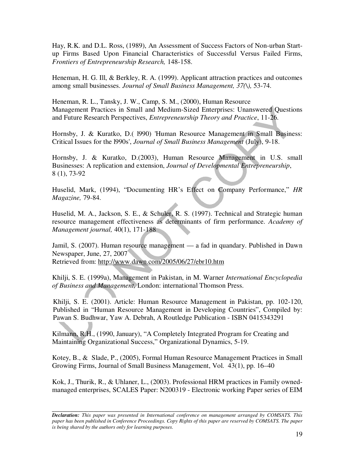Hay, R.K. and D.L. Ross, (1989), An Assessment of Success Factors of Non-urban Startup Firms Based Upon Financial Characteristics of Successful Versus Failed Firms, *Frontiers of Entrepreneurship Research,* 148-158.

Heneman, H. G. Ill, & Berkley, R. A. (1999). Applicant attraction practices and outcomes among small businesses. *Journal of Small Business Management, 37(\),* 53-74.

Heneman, R. L., Tansky, J. W., Camp, S. M., (2000), Human Resource Management Practices in Small and Medium-Sized Enterprises: Unanswered Questions and Future Research Perspectives, *Entrepreneurship Theory and Practice*, 11-26.

Hornsby, J. & Kuratko, D.( l990) 'Human Resource Management in Small Business: Critical Issues for the l990s', *Journal of Small Business Management* (July), 9-18.

Hornsby, J. & Kuratko, D.(2003), Human Resource Management in U.S. small Businesses: A replication and extension, *Journal of Developmental Entrepreneurship*, 8 (1), 73-92

Huselid, Mark, (1994), "Documenting HR's Effect on Company Performance," *HR Magazine,* 79-84.

Huselid, M. A., Jackson, S. E., & Schuler, R. S. (1997). Technical and Strategic human resource management effectiveness as determinants of firm performance. *Academy of Management journal,* 40(1), 171-188

Jamil, S. (2007). Human resource management — a fad in quandary. Published in Dawn Newspaper, June, 27, 2007 Retrieved from: http://www.dawn.com/2005/06/27/ebr10.htm

Khilji, S. E. (1999a), Management in Pakistan, in M. Warner *International Encyclopedia of Business and Management,* London: international Thomson Press.

Khilji, S. E. (2001). Article: Human Resource Management in Pakistan, pp. 102-120, Published in "Human Resource Management in Developing Countries", Compiled by: Pawan S. Budhwar, Yaw A. Debrah, A Routledge Publication - ISBN 0415343291

Kilmann, R.H., (1990, January), "A Completely Integrated Program for Creating and Maintaining Organizational Success," Organizational Dynamics, 5-19.

Kotey, B., & Slade, P., (2005), Formal Human Resource Management Practices in Small Growing Firms, Journal of Small Business Management, Vol. 43(1), pp. 16–40

Kok, J., Thurik, R., & Uhlaner, L., (2003). Professional HRM practices in Family ownedmanaged enterprises, SCALES Paper: N200319 - Electronic working Paper series of EIM

*Declaration: This paper was presented in International conference on management arranged by COMSATS. This paper has been published in Conference Proceedings. Copy Rights of this paper are reserved by COMSATS. The paper is being shared by the authors only for learning purposes.*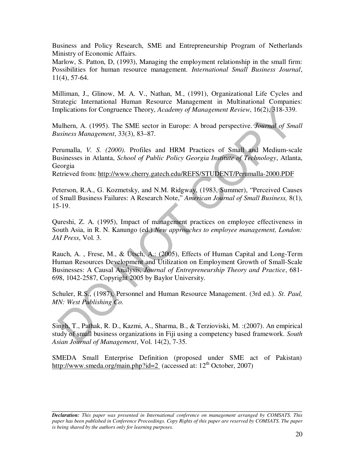Business and Policy Research, SME and Entrepreneurship Program of Netherlands Ministry of Economic Affairs.

Marlow, S. Patton, D, (1993), Managing the employment relationship in the small firm: Possibilities for human resource management*. International Small Business Journal*, 11(4), 57-64.

Milliman, J., Glinow, M. A. V., Nathan, M., (1991), Organizational Life Cycles and Strategic International Human Resource Management in Multinational Companies: Implications for Congruence Theory, *Academy of Management Review*, 16(2), 318-339.

Mulhern, A. (1995). The SME sector in Europe: A broad perspective. *Journal of Small Business Management*, 33(3), 83–87.

Perumalla, *V. S. (2000).* Profiles and HRM Practices of Small and Medium-scale Businesses in Atlanta, *School of Public Policy Georgia Institute of Technology*, Atlanta, Georgia

Retrieved from: http://www.cherry.gatech.edu/REFS/STUDENT/Perumalla-2000.PDF

Peterson, R.A., G. Kozmetsky, and N.M. Ridgway, (1983, Summer), "Perceived Causes of Small Business Failures: A Research Note," *American Journal of Small Business,* 8(1), 15-19.

Qureshi, Z. A. (1995), Impact of management practices on employee effectiveness in South Asia, in R. N. Kanungo (ed.) *New approaches to employee management, London: JAI Press*, Vol. 3.

Rauch, A. , Frese, M., & Utsch, A.: (2005), Effects of Human Capital and Long-Term Human Resources Development and Utilization on Employment Growth of Small-Scale Businesses: A Causal Analysis, *Journal of Entrepreneurship Theory and Practice*, 681- 698, 1042-2587, Copyright 2005 by Baylor University.

Schuler, R.S., (1987), Personnel and Human Resource Management. (3rd ed.). *St. Paul, MN: West Publishing Co.* 

Singh, T., Pathak, R. D., Kazmi, A., Sharma, B., & Terzioviski, M. :(2007). An empirical study of small business organizations in Fiji using a competency based framework. *South Asian Journal of Management*, Vol. 14(2), 7-35.

SMEDA Small Enterprise Definition (proposed under SME act of Pakistan) http://www.smeda.org/main.php?id=2 (accessed at:  $12<sup>th</sup>$  October, 2007)

*Declaration: This paper was presented in International conference on management arranged by COMSATS. This paper has been published in Conference Proceedings. Copy Rights of this paper are reserved by COMSATS. The paper is being shared by the authors only for learning purposes.*